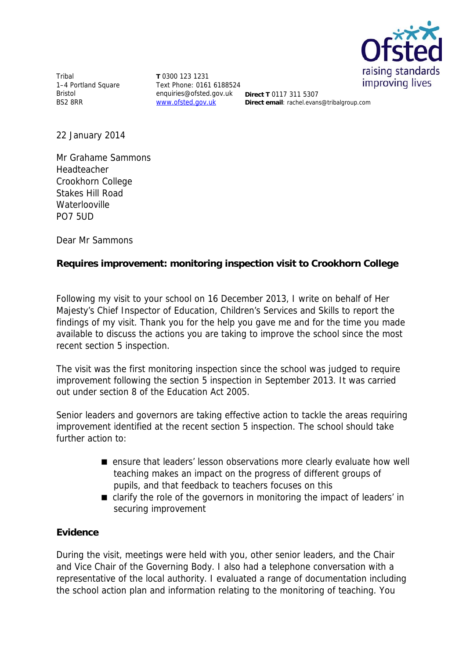

Tribal 1–4 Portland Square Bristol BS2 8RR

**T** 0300 123 1231 Text Phone: 0161 6188524 enquiries@ofsted.gov.uk **Direct T** 0117 311 5307 www.ofsted.gov.uk

**Direct email**: rachel.evans@tribalgroup.com

22 January 2014

Mr Grahame Sammons Headteacher Crookhorn College Stakes Hill Road **Waterlooville** PO7 5UD

Dear Mr Sammons

## **Requires improvement: monitoring inspection visit to Crookhorn College**

Following my visit to your school on 16 December 2013, I write on behalf of Her Majesty's Chief Inspector of Education, Children's Services and Skills to report the findings of my visit. Thank you for the help you gave me and for the time you made available to discuss the actions you are taking to improve the school since the most recent section 5 inspection.

The visit was the first monitoring inspection since the school was judged to require improvement following the section 5 inspection in September 2013. It was carried out under section 8 of the Education Act 2005.

Senior leaders and governors are taking effective action to tackle the areas requiring improvement identified at the recent section 5 inspection. The school should take further action to:

- ensure that leaders' lesson observations more clearly evaluate how well teaching makes an impact on the progress of different groups of pupils, and that feedback to teachers focuses on this
- clarify the role of the governors in monitoring the impact of leaders' in securing improvement

## **Evidence**

During the visit, meetings were held with you, other senior leaders, and the Chair and Vice Chair of the Governing Body. I also had a telephone conversation with a representative of the local authority. I evaluated a range of documentation including the school action plan and information relating to the monitoring of teaching. You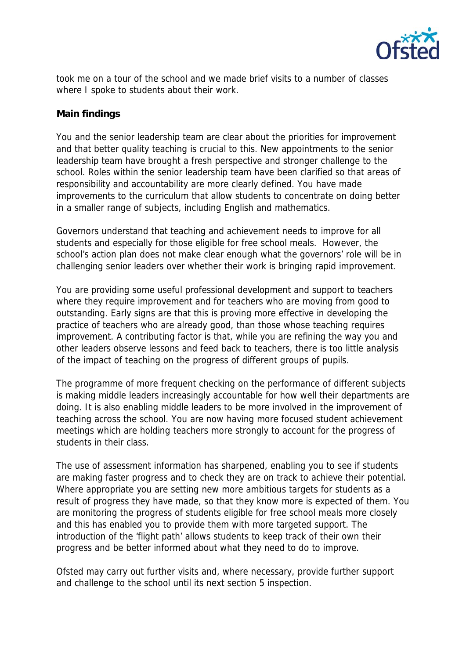

took me on a tour of the school and we made brief visits to a number of classes where I spoke to students about their work.

## **Main findings**

You and the senior leadership team are clear about the priorities for improvement and that better quality teaching is crucial to this. New appointments to the senior leadership team have brought a fresh perspective and stronger challenge to the school. Roles within the senior leadership team have been clarified so that areas of responsibility and accountability are more clearly defined. You have made improvements to the curriculum that allow students to concentrate on doing better in a smaller range of subjects, including English and mathematics.

Governors understand that teaching and achievement needs to improve for all students and especially for those eligible for free school meals. However, the school's action plan does not make clear enough what the governors' role will be in challenging senior leaders over whether their work is bringing rapid improvement.

You are providing some useful professional development and support to teachers where they require improvement and for teachers who are moving from good to outstanding. Early signs are that this is proving more effective in developing the practice of teachers who are already good, than those whose teaching requires improvement. A contributing factor is that, while you are refining the way you and other leaders observe lessons and feed back to teachers, there is too little analysis of the impact of teaching on the progress of different groups of pupils.

The programme of more frequent checking on the performance of different subjects is making middle leaders increasingly accountable for how well their departments are doing. It is also enabling middle leaders to be more involved in the improvement of teaching across the school. You are now having more focused student achievement meetings which are holding teachers more strongly to account for the progress of students in their class.

The use of assessment information has sharpened, enabling you to see if students are making faster progress and to check they are on track to achieve their potential. Where appropriate you are setting new more ambitious targets for students as a result of progress they have made, so that they know more is expected of them. You are monitoring the progress of students eligible for free school meals more closely and this has enabled you to provide them with more targeted support. The introduction of the 'flight path' allows students to keep track of their own their progress and be better informed about what they need to do to improve.

Ofsted may carry out further visits and, where necessary, provide further support and challenge to the school until its next section 5 inspection.